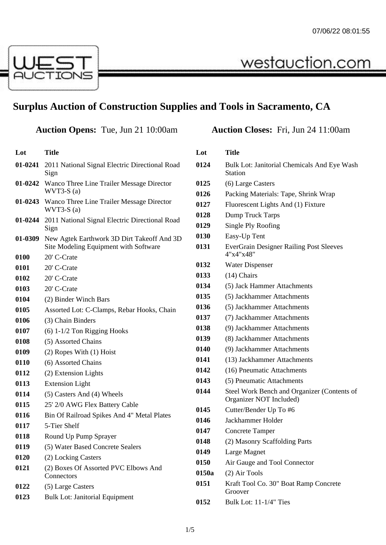

## **Surplus Auction of Construction Supplies and Tools in Sacramento, CA**

**Auction Opens: Tue, Jun 21 10:00am** 

westauction.com

| Lot     | <b>Title</b>                                                                        |
|---------|-------------------------------------------------------------------------------------|
| 01-0241 | 2011 National Signal Electric Directional Road<br>Sign                              |
|         | 01-0242 Wanco Three Line Trailer Message Director<br>$WVT3-S(a)$                    |
|         | 01-0243 Wanco Three Line Trailer Message Director<br>$WVT3-S(a)$                    |
| 01-0244 | 2011 National Signal Electric Directional Road<br>Sign                              |
| 01-0309 | New Agtek Earthwork 3D Dirt Takeoff And 3D<br>Site Modeling Equipment with Software |
| 0100    | 20' C-Crate                                                                         |
| 0101    | 20' C-Crate                                                                         |
| 0102    | 20' C-Crate                                                                         |
| 0103    | 20' C-Crate                                                                         |
| 0104    | (2) Binder Winch Bars                                                               |
| 0105    | Assorted Lot: C-Clamps, Rebar Hooks, Chain                                          |
| 0106    | (3) Chain Binders                                                                   |
| 0107    | $(6)$ 1-1/2 Ton Rigging Hooks                                                       |
| 0108    | (5) Assorted Chains                                                                 |
| 0109    | (2) Ropes With (1) Hoist                                                            |
| 0110    | (6) Assorted Chains                                                                 |
| 0112    | (2) Extension Lights                                                                |
| 0113    | <b>Extension Light</b>                                                              |
| 0114    | (5) Casters And (4) Wheels                                                          |
| 0115    | 25' 2/0 AWG Flex Battery Cable                                                      |
| 0116    | Bin Of Railroad Spikes And 4" Metal Plates                                          |
| 0117    | 5-Tier Shelf                                                                        |
| 0118    | Round Up Pump Sprayer                                                               |
| 0119    | (5) Water Based Concrete Sealers                                                    |
| 0120    | (2) Locking Casters                                                                 |
| 0121    | (2) Boxes Of Assorted PVC Elbows And<br>Connectors                                  |
| 0122    | (5) Large Casters                                                                   |
| 0123    | <b>Bulk Lot: Janitorial Equipment</b>                                               |

| Lot   | Title                                                                  |
|-------|------------------------------------------------------------------------|
| 0124  | Bulk Lot: Janitorial Chemicals And Eye Wash<br><b>Station</b>          |
| 0125  | (6) Large Casters                                                      |
| 0126  | Packing Materials: Tape, Shrink Wrap                                   |
| 0127  | Fluorescent Lights And (1) Fixture                                     |
| 0128  | Dump Truck Tarps                                                       |
| 0129  | Single Ply Roofing                                                     |
| 0130  | Easy-Up Tent                                                           |
| 0131  | <b>EverGrain Designer Railing Post Sleeves</b><br>4"x4"x48"            |
| 0132  | <b>Water Dispenser</b>                                                 |
| 0133  | $(14)$ Chairs                                                          |
| 0134  | (5) Jack Hammer Attachments                                            |
| 0135  | (5) Jackhammer Attachments                                             |
| 0136  | (5) Jackhammer Attachments                                             |
| 0137  | (7) Jackhammer Attachments                                             |
| 0138  | (9) Jackhammer Attachments                                             |
| 0139  | (8) Jackhammer Attachments                                             |
| 0140  | (9) Jackhammer Attachments                                             |
| 0141  | (13) Jackhammer Attachments                                            |
| 0142  | (16) Pneumatic Attachments                                             |
| 0143  | (5) Pneumatic Attachments                                              |
| 0144  | Steel Work Bench and Organizer (Contents of<br>Organizer NOT Included) |
| 0145  | Cutter/Bender Up To #6                                                 |
| 0146  | Jackhammer Holder                                                      |
| 0147  | Concrete Tamper                                                        |
| 0148  | (2) Masonry Scaffolding Parts                                          |
| 0149  | Large Magnet                                                           |
| 0150  | Air Gauge and Tool Connector                                           |
| 0150a | (2) Air Tools                                                          |
| 0151  | Kraft Tool Co. 30" Boat Ramp Concrete<br>Groover                       |
| 0152  | Bulk Lot: 11-1/4" Ties                                                 |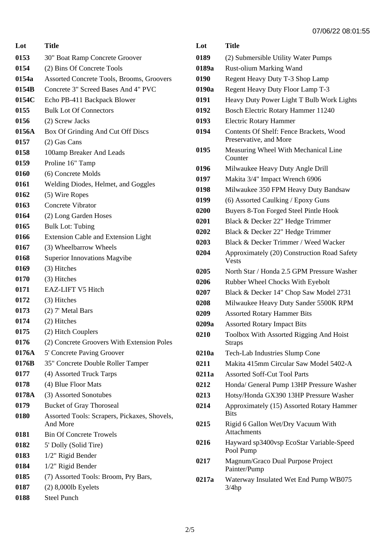| Lot   | Title                                                    |
|-------|----------------------------------------------------------|
| 0153  | 30" Boat Ramp Concrete Groover                           |
| 0154  | (2) Bins Of Concrete Tools                               |
| 0154a | Assorted Concrete Tools, Brooms, Groovers                |
| 0154B | Concrete 3" Screed Bases And 4" PVC                      |
| 0154C | Echo PB-411 Backpack Blower                              |
| 0155  | <b>Bulk Lot Of Connectors</b>                            |
| 0156  | (2) Screw Jacks                                          |
| 0156A | Box Of Grinding And Cut Off Discs                        |
| 0157  | (2) Gas Cans                                             |
| 0158  | 100amp Breaker And Leads                                 |
| 0159  | Proline 16" Tamp                                         |
| 0160  | (6) Concrete Molds                                       |
| 0161  | Welding Diodes, Helmet, and Goggles                      |
| 0162  | (5) Wire Ropes                                           |
| 0163  | Concrete Vibrator                                        |
| 0164  | (2) Long Garden Hoses                                    |
| 0165  | <b>Bulk Lot: Tubing</b>                                  |
| 0166  | Extension Cable and Extension Light                      |
| 0167  | (3) Wheelbarrow Wheels                                   |
| 0168  | <b>Superior Innovations Magvibe</b>                      |
| 0169  | (3) Hitches                                              |
| 0170  | (3) Hitches                                              |
| 0171  | EAZ-LIFT V5 Hitch                                        |
| 0172  | (3) Hitches                                              |
| 0173  | (2) 7' Metal Bars                                        |
| 0174  | (2) Hitches                                              |
| 0175  | (2) Hitch Couplers                                       |
| 0176  | (2) Concrete Groovers With Extension Poles               |
| 0176A | 5' Concrete Paving Groover                               |
| 0176B | 35" Concrete Double Roller Tamper                        |
| 0177  | (4) Assorted Truck Tarps                                 |
| 0178  | (4) Blue Floor Mats                                      |
| 0178A | (3) Assorted Sonotubes                                   |
| 0179  | <b>Bucket of Gray Thoroseal</b>                          |
| 0180  | Assorted Tools: Scrapers, Pickaxes, Shovels,<br>And More |
| 0181  | <b>Bin Of Concrete Trowels</b>                           |
| 0182  | 5' Dolly (Solid Tire)                                    |
| 0183  | 1/2" Rigid Bender                                        |
| 0184  | 1/2" Rigid Bender                                        |
| 0185  | (7) Assorted Tools: Broom, Pry Bars,                     |
| 0187  | $(2)$ 8,000lb Eyelets                                    |
| 0188  | Steel Punch                                              |

| Lot   | Title                                                             |
|-------|-------------------------------------------------------------------|
| 0189  | (2) Submersible Utility Water Pumps                               |
| 0189a | <b>Rust-olium Marking Wand</b>                                    |
| 0190  | Regent Heavy Duty T-3 Shop Lamp                                   |
| 0190a | Regent Heavy Duty Floor Lamp T-3                                  |
| 0191  | Heavy Duty Power Light T Bulb Work Lights                         |
| 0192  | Bosch Electric Rotary Hammer 11240                                |
| 0193  | <b>Electric Rotary Hammer</b>                                     |
| 0194  | Contents Of Shelf: Fence Brackets, Wood<br>Preservative, and More |
| 0195  | Measuring Wheel With Mechanical Line<br>Counter                   |
| 0196  | Milwaukee Heavy Duty Angle Drill                                  |
| 0197  | Makita 3/4" Impact Wrench 6906                                    |
| 0198  | Milwaukee 350 FPM Heavy Duty Bandsaw                              |
| 0199  | (6) Assorted Caulking / Epoxy Guns                                |
| 0200  | Buyers 8-Ton Forged Steel Pintle Hook                             |
| 0201  | Black & Decker 22" Hedge Trimmer                                  |
| 0202  | Black & Decker 22" Hedge Trimmer                                  |
| 0203  | Black & Decker Trimmer / Weed Wacker                              |
| 0204  | Approximately (20) Construction Road Safety<br><b>Vests</b>       |
| 0205  | North Star / Honda 2.5 GPM Pressure Washer                        |
| 0206  | Rubber Wheel Chocks With Eyebolt                                  |
| 0207  | Black & Decker 14" Chop Saw Model 2731                            |
| 0208  | Milwaukee Heavy Duty Sander 5500K RPM                             |
| 0209  | <b>Assorted Rotary Hammer Bits</b>                                |
| 0209a | <b>Assorted Rotary Impact Bits</b>                                |
| 0210  | Toolbox With Assorted Rigging And Hoist<br><b>Straps</b>          |
| 0210a | Tech-Lab Industries Slump Cone                                    |
| 0211  | Makita 415mm Circular Saw Model 5402-A                            |
| 0211a | <b>Assorted Soff-Cut Tool Parts</b>                               |
| 0212  | Honda/ General Pump 13HP Pressure Washer                          |
| 0213  | Hotsy/Honda GX390 13HP Pressure Washer                            |
| 0214  | Approximately (15) Assorted Rotary Hammer<br><b>Bits</b>          |
| 0215  | Rigid 6 Gallon Wet/Dry Vacuum With<br>Attachments                 |
| 0216  | Hayward sp3400vsp EcoStar Variable-Speed<br>Pool Pump             |
| 0217  | Magnum/Graco Dual Purpose Project<br>Painter/Pump                 |
| 0217a | Waterway Insulated Wet End Pump WB075<br>3/4hp                    |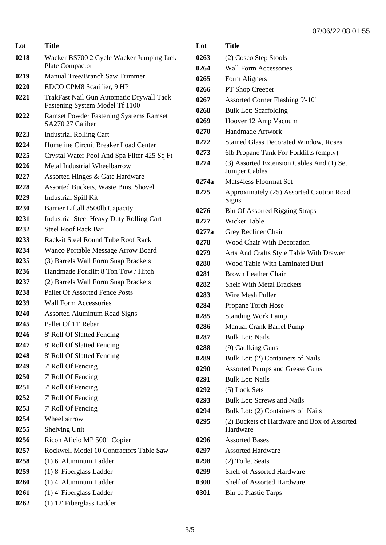| Lot  | Title                                                                      |
|------|----------------------------------------------------------------------------|
| 0218 | Wacker BS700 2 Cycle Wacker Jumping Jack<br>Plate Compactor                |
| 0219 | <b>Manual Tree/Branch Saw Trimmer</b>                                      |
| 0220 | EDCO CPM8 Scarifier, 9 HP                                                  |
| 0221 | TrakFast Nail Gun Automatic Drywall Tack<br>Fastening System Model Tf 1100 |
| 0222 | <b>Ramset Powder Fastening Systems Ramset</b><br>SA270 27 Caliber          |
| 0223 | <b>Industrial Rolling Cart</b>                                             |
| 0224 | Homeline Circuit Breaker Load Center                                       |
| 0225 | Crystal Water Pool And Spa Filter 425 Sq Ft                                |
| 0226 | Metal Industrial Wheelbarrow                                               |
| 0227 | Assorted Hinges & Gate Hardware                                            |
| 0228 | <b>Assorted Buckets, Waste Bins, Shovel</b>                                |
| 0229 | <b>Industrial Spill Kit</b>                                                |
| 0230 | Barrier Liftall 8500lb Capacity                                            |
| 0231 | <b>Industrial Steel Heavy Duty Rolling Cart</b>                            |
| 0232 | <b>Steel Roof Rack Bar</b>                                                 |
| 0233 | Rack-it Steel Round Tube Roof Rack                                         |
| 0234 | Wanco Portable Message Arrow Board                                         |
| 0235 | (3) Barrels Wall Form Snap Brackets                                        |
| 0236 | Handmade Forklift 8 Ton Tow / Hitch                                        |
| 0237 | (2) Barrels Wall Form Snap Brackets                                        |
| 0238 | <b>Pallet Of Assorted Fence Posts</b>                                      |
| 0239 | Wall Form Accessories                                                      |
| 0240 | <b>Assorted Aluminum Road Signs</b>                                        |
| 0245 | Pallet Of 11' Rebar                                                        |
| 0246 | 8' Roll Of Slatted Fencing                                                 |
| 0247 | 8' Roll Of Slatted Fencing                                                 |
| 0248 | 8' Roll Of Slatted Fencing                                                 |
| 0249 | 7' Roll Of Fencing                                                         |
| 0250 | 7' Roll Of Fencing                                                         |
| 0251 | 7' Roll Of Fencing                                                         |
| 0252 | 7' Roll Of Fencing                                                         |
| 0253 | 7' Roll Of Fencing                                                         |
| 0254 | Wheelbarrow                                                                |
| 0255 | <b>Shelving Unit</b>                                                       |
| 0256 | Ricoh Aficio MP 5001 Copier                                                |
| 0257 | Rockwell Model 10 Contractors Table Saw                                    |
| 0258 | (1) 6' Aluminum Ladder                                                     |
| 0259 | (1) 8' Fiberglass Ladder                                                   |
| 0260 | (1) 4' Aluminum Ladder                                                     |
| 0261 | $(1)$ 4' Fiberglass Ladder                                                 |
| 0262 | (1) 12' Fiberglass Ladder                                                  |

| Lot   | Title                                                             |
|-------|-------------------------------------------------------------------|
| 0263  | (2) Cosco Step Stools                                             |
| 0264  | <b>Wall Form Accessories</b>                                      |
| 0265  | Form Aligners                                                     |
| 0266  | PT Shop Creeper                                                   |
| 0267  | Assorted Corner Flashing 9'-10'                                   |
| 0268  | <b>Bulk Lot: Scaffolding</b>                                      |
| 0269  | Hoover 12 Amp Vacuum                                              |
| 0270  | <b>Handmade Artwork</b>                                           |
| 0272  | <b>Stained Glass Decorated Window, Roses</b>                      |
| 0273  | 6lb Propane Tank For Forklifts (empty)                            |
| 0274  | (3) Assorted Extension Cables And (1) Set<br><b>Jumper Cables</b> |
| 0274a | <b>Mats4less Floormat Set</b>                                     |
| 0275  | Approximately (25) Assorted Caution Road<br>Signs                 |
| 0276  | <b>Bin Of Assorted Rigging Straps</b>                             |
| 0277  | <b>Wicker Table</b>                                               |
| 0277a | Grey Recliner Chair                                               |
| 0278  | <b>Wood Chair With Decoration</b>                                 |
| 0279  | Arts And Crafts Style Table With Drawer                           |
| 0280  | Wood Table With Laminated Burl                                    |
| 0281  | <b>Brown Leather Chair</b>                                        |
| 0282  | <b>Shelf With Metal Brackets</b>                                  |
| 0283  | Wire Mesh Puller                                                  |
| 0284  | Propane Torch Hose                                                |
| 0285  | <b>Standing Work Lamp</b>                                         |
| 0286  | Manual Crank Barrel Pump                                          |
| 0287  | <b>Bulk Lot: Nails</b>                                            |
| 0288  | (9) Caulking Guns                                                 |
| 0289  | Bulk Lot: (2) Containers of Nails                                 |
| 0290  | <b>Assorted Pumps and Grease Guns</b>                             |
| 0291  | <b>Bulk Lot: Nails</b>                                            |
| 0292  | (5) Lock Sets                                                     |
| 0293  | <b>Bulk Lot: Screws and Nails</b>                                 |
| 0294  | Bulk Lot: (2) Containers of Nails                                 |
| 0295  | (2) Buckets of Hardware and Box of Assorted<br>Hardware           |
| 0296  | <b>Assorted Bases</b>                                             |
| 0297  | <b>Assorted Hardware</b>                                          |
| 0298  | (2) Toilet Seats                                                  |
| 0299  | <b>Shelf of Assorted Hardware</b>                                 |
| 0300  | <b>Shelf of Assorted Hardware</b>                                 |
| 0301  | <b>Bin of Plastic Tarps</b>                                       |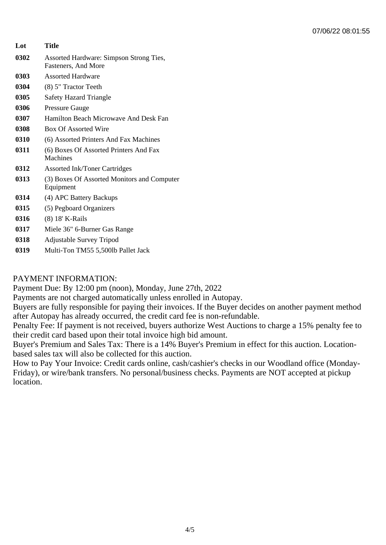| Lot  | Title                                                          |
|------|----------------------------------------------------------------|
| 0302 | Assorted Hardware: Simpson Strong Ties,<br>Fasteners, And More |
| 0303 | <b>Assorted Hardware</b>                                       |
| 0304 | (8) 5" Tractor Teeth                                           |
| 0305 | <b>Safety Hazard Triangle</b>                                  |
| 0306 | <b>Pressure Gauge</b>                                          |
| 0307 | Hamilton Beach Microwave And Desk Fan                          |
| 0308 | <b>Box Of Assorted Wire</b>                                    |
| 0310 | (6) Assorted Printers And Fax Machines                         |
| 0311 | (6) Boxes Of Assorted Printers And Fax<br>Machines             |
| 0312 | <b>Assorted Ink/Toner Cartridges</b>                           |
| 0313 | (3) Boxes Of Assorted Monitors and Computer<br>Equipment       |
| 0314 | (4) APC Battery Backups                                        |
| 0315 | (5) Pegboard Organizers                                        |
| 0316 | (8) 18' K-Rails                                                |
| 0317 | Miele 36" 6-Burner Gas Range                                   |
| 0318 | <b>Adjustable Survey Tripod</b>                                |
| 0319 | Multi-Ton TM55 5,500lb Pallet Jack                             |

## PAYMENT INFORMATION:

Payment Due: By 12:00 pm (noon), Monday, June 27th, 2022

Payments are not charged automatically unless enrolled in Autopay.

Buyers are fully responsible for paying their invoices. If the Buyer decides on another payment method after Autopay has already occurred, the credit card fee is non-refundable.

Penalty Fee: If payment is not received, buyers authorize West Auctions to charge a 15% penalty fee to their credit card based upon their total invoice high bid amount.

Buyer's Premium and Sales Tax: There is a 14% Buyer's Premium in effect for this auction. Locationbased sales tax will also be collected for this auction.

How to Pay Your Invoice: Credit cards online, cash/cashier's checks in our Woodland office (Monday-Friday), or wire/bank transfers. No personal/business checks. Payments are NOT accepted at pickup location.